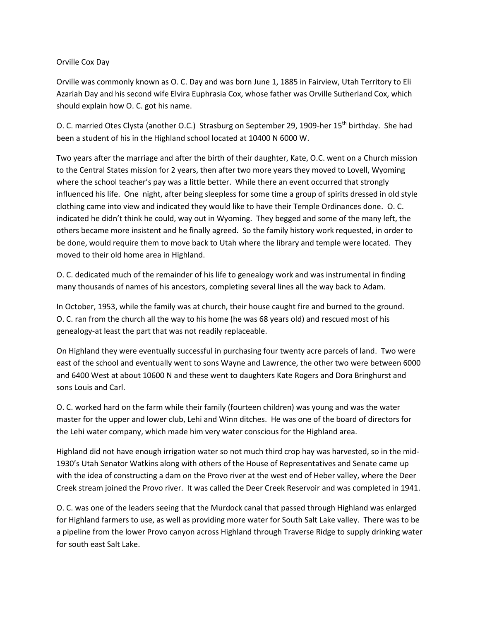## Orville Cox Day

Orville was commonly known as O. C. Day and was born June 1, 1885 in Fairview, Utah Territory to Eli Azariah Day and his second wife Elvira Euphrasia Cox, whose father was Orville Sutherland Cox, which should explain how O. C. got his name.

O. C. married Otes Clysta (another O.C.) Strasburg on September 29, 1909-her 15<sup>th</sup> birthday. She had been a student of his in the Highland school located at 10400 N 6000 W.

Two years after the marriage and after the birth of their daughter, Kate, O.C. went on a Church mission to the Central States mission for 2 years, then after two more years they moved to Lovell, Wyoming where the school teacher's pay was a little better. While there an event occurred that strongly influenced his life. One night, after being sleepless for some time a group of spirits dressed in old style clothing came into view and indicated they would like to have their Temple Ordinances done. O. C. indicated he didn't think he could, way out in Wyoming. They begged and some of the many left, the others became more insistent and he finally agreed. So the family history work requested, in order to be done, would require them to move back to Utah where the library and temple were located. They moved to their old home area in Highland.

O. C. dedicated much of the remainder of his life to genealogy work and was instrumental in finding many thousands of names of his ancestors, completing several lines all the way back to Adam.

In October, 1953, while the family was at church, their house caught fire and burned to the ground. O. C. ran from the church all the way to his home (he was 68 years old) and rescued most of his genealogy-at least the part that was not readily replaceable.

On Highland they were eventually successful in purchasing four twenty acre parcels of land. Two were east of the school and eventually went to sons Wayne and Lawrence, the other two were between 6000 and 6400 West at about 10600 N and these went to daughters Kate Rogers and Dora Bringhurst and sons Louis and Carl.

O. C. worked hard on the farm while their family (fourteen children) was young and was the water master for the upper and lower club, Lehi and Winn ditches. He was one of the board of directors for the Lehi water company, which made him very water conscious for the Highland area.

Highland did not have enough irrigation water so not much third crop hay was harvested, so in the mid-1930's Utah Senator Watkins along with others of the House of Representatives and Senate came up with the idea of constructing a dam on the Provo river at the west end of Heber valley, where the Deer Creek stream joined the Provo river. It was called the Deer Creek Reservoir and was completed in 1941.

O. C. was one of the leaders seeing that the Murdock canal that passed through Highland was enlarged for Highland farmers to use, as well as providing more water for South Salt Lake valley. There was to be a pipeline from the lower Provo canyon across Highland through Traverse Ridge to supply drinking water for south east Salt Lake.